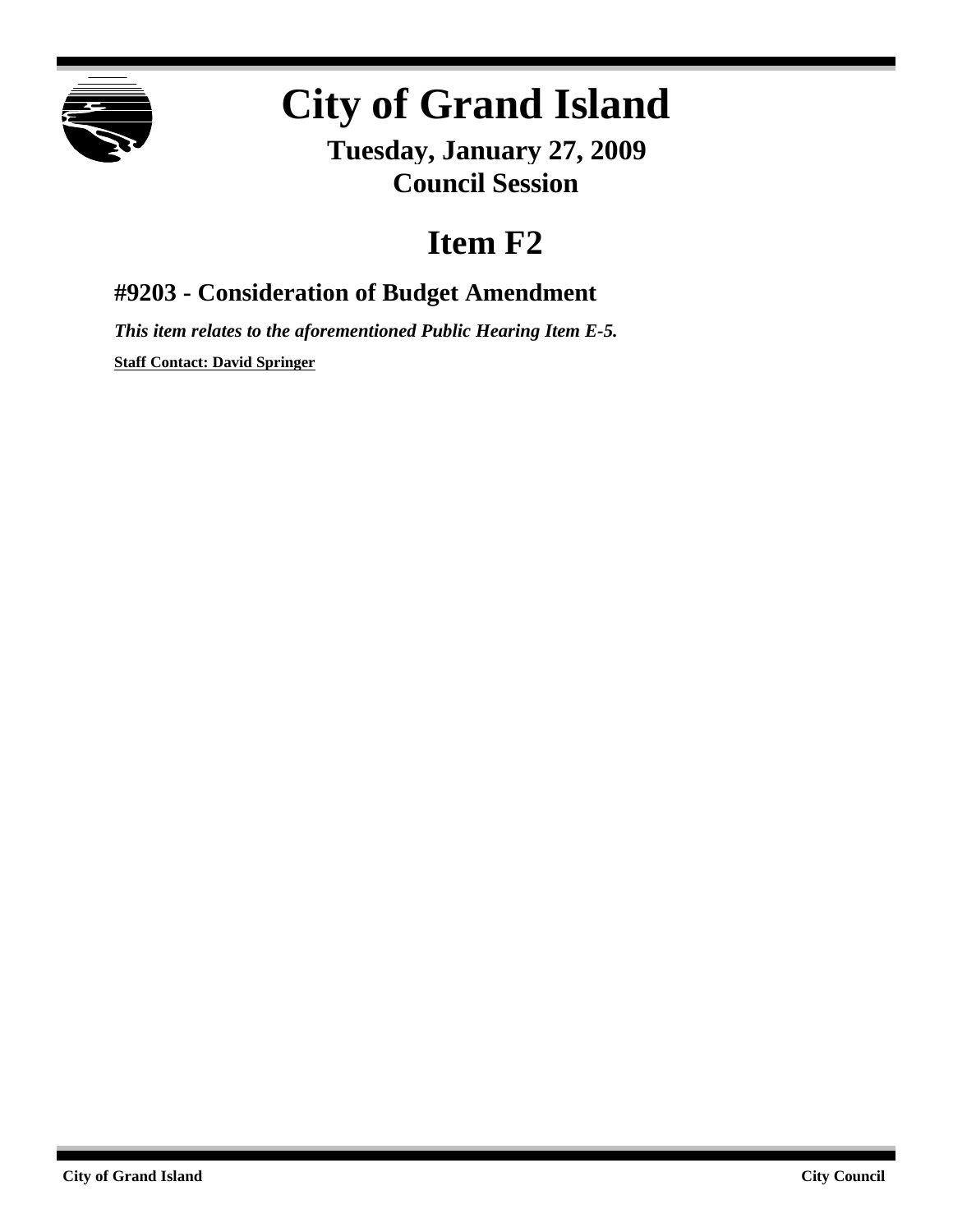

## **City of Grand Island**

**Tuesday, January 27, 2009 Council Session**

## **Item F2**

**#9203 - Consideration of Budget Amendment**

*This item relates to the aforementioned Public Hearing Item E-5.* **Staff Contact: David Springer**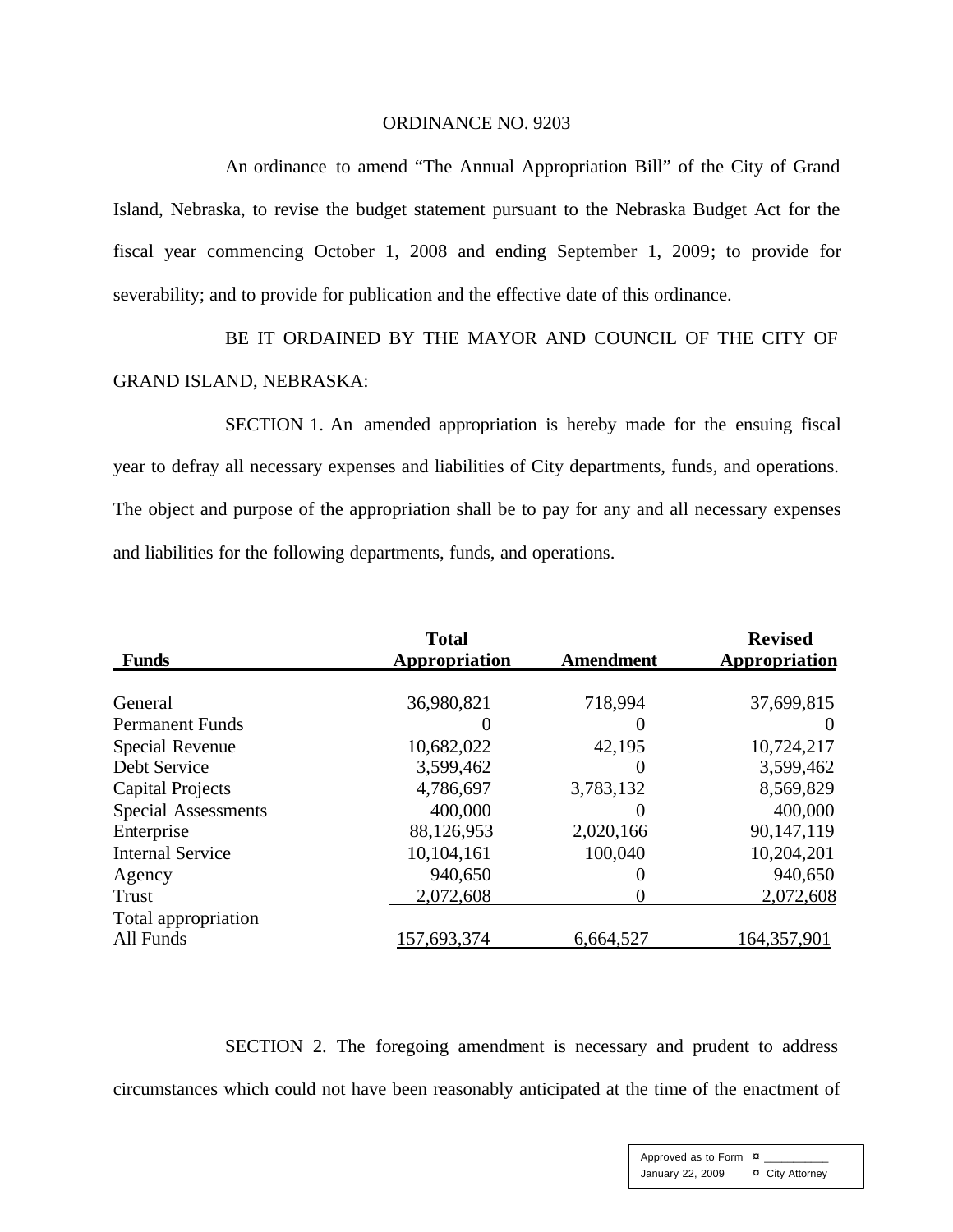## ORDINANCE NO. 9203

An ordinance to amend "The Annual Appropriation Bill" of the City of Grand Island, Nebraska, to revise the budget statement pursuant to the Nebraska Budget Act for the fiscal year commencing October 1, 2008 and ending September 1, 2009; to provide for severability; and to provide for publication and the effective date of this ordinance.

BE IT ORDAINED BY THE MAYOR AND COUNCIL OF THE CITY OF GRAND ISLAND, NEBRASKA:

SECTION 1. An amended appropriation is hereby made for the ensuing fiscal year to defray all necessary expenses and liabilities of City departments, funds, and operations. The object and purpose of the appropriation shall be to pay for any and all necessary expenses and liabilities for the following departments, funds, and operations.

| <b>Funds</b>               | <b>Total</b><br><b>Appropriation</b> | <b>Amendment</b> | <b>Revised</b><br><b>Appropriation</b> |
|----------------------------|--------------------------------------|------------------|----------------------------------------|
|                            |                                      |                  |                                        |
| General                    | 36,980,821                           | 718,994          | 37,699,815                             |
| <b>Permanent Funds</b>     |                                      | $\theta$         | $\theta$                               |
| <b>Special Revenue</b>     | 10,682,022                           | 42,195           | 10,724,217                             |
| Debt Service               | 3,599,462                            | $\Omega$         | 3,599,462                              |
| <b>Capital Projects</b>    | 4,786,697                            | 3,783,132        | 8,569,829                              |
| <b>Special Assessments</b> | 400,000                              | $\theta$         | 400,000                                |
| Enterprise                 | 88,126,953                           | 2,020,166        | 90,147,119                             |
| <b>Internal Service</b>    | 10,104,161                           | 100,040          | 10,204,201                             |
| Agency                     | 940,650                              | $\theta$         | 940,650                                |
| <b>Trust</b>               | 2,072,608                            | $\mathbf{0}$     | 2,072,608                              |
| Total appropriation        |                                      |                  |                                        |
| All Funds                  | 157,693,374                          | 6,664,527        | 164,357,901                            |

SECTION 2. The foregoing amendment is necessary and prudent to address circumstances which could not have been reasonably anticipated at the time of the enactment of

> Approved as to Form  $\overline{a}$ January 22, 2009 ¤ City Attorney